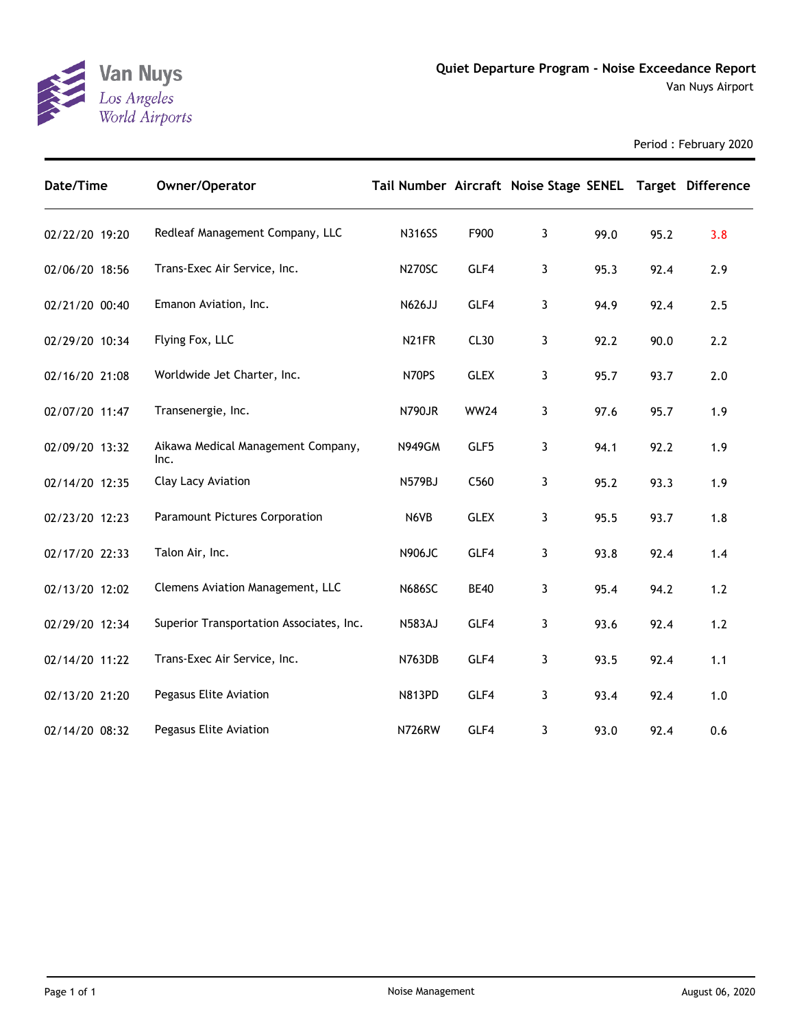

Period : February 2020

| Date/Time      | Owner/Operator                             | Tail Number Aircraft Noise Stage SENEL Target Difference |                  |              |      |      |       |
|----------------|--------------------------------------------|----------------------------------------------------------|------------------|--------------|------|------|-------|
| 02/22/20 19:20 | Redleaf Management Company, LLC            | <b>N316SS</b>                                            | F900             | $\mathbf{3}$ | 99.0 | 95.2 | 3.8   |
| 02/06/20 18:56 | Trans-Exec Air Service, Inc.               | <b>N270SC</b>                                            | GLF4             | $\mathbf{3}$ | 95.3 | 92.4 | 2.9   |
| 02/21/20 00:40 | Emanon Aviation, Inc.                      | N626JJ                                                   | GLF4             | 3            | 94.9 | 92.4 | 2.5   |
| 02/29/20 10:34 | Flying Fox, LLC                            | N <sub>21</sub> FR                                       | CL <sub>30</sub> | 3            | 92.2 | 90.0 | 2.2   |
| 02/16/20 21:08 | Worldwide Jet Charter, Inc.                | N70PS                                                    | <b>GLEX</b>      | 3            | 95.7 | 93.7 | 2.0   |
| 02/07/20 11:47 | Transenergie, Inc.                         | N790JR                                                   | <b>WW24</b>      | $\mathbf{3}$ | 97.6 | 95.7 | 1.9   |
| 02/09/20 13:32 | Aikawa Medical Management Company,<br>Inc. | <b>N949GM</b>                                            | GLF5             | $\mathbf{3}$ | 94.1 | 92.2 | 1.9   |
| 02/14/20 12:35 | Clay Lacy Aviation                         | <b>N579BJ</b>                                            | C560             | 3            | 95.2 | 93.3 | 1.9   |
| 02/23/20 12:23 | <b>Paramount Pictures Corporation</b>      | N6VB                                                     | <b>GLEX</b>      | 3            | 95.5 | 93.7 | 1.8   |
| 02/17/20 22:33 | Talon Air, Inc.                            | <b>N906JC</b>                                            | GLF4             | $\mathbf{3}$ | 93.8 | 92.4 | 1.4   |
| 02/13/20 12:02 | Clemens Aviation Management, LLC           | <b>N686SC</b>                                            | <b>BE40</b>      | 3            | 95.4 | 94.2 | 1.2   |
| 02/29/20 12:34 | Superior Transportation Associates, Inc.   | <b>N583AJ</b>                                            | GLF4             | $\mathbf{3}$ | 93.6 | 92.4 | $1.2$ |
| 02/14/20 11:22 | Trans-Exec Air Service, Inc.               | <b>N763DB</b>                                            | GLF4             | $\mathbf{3}$ | 93.5 | 92.4 | 1.1   |
| 02/13/20 21:20 | Pegasus Elite Aviation                     | <b>N813PD</b>                                            | GLF4             | $\mathbf{3}$ | 93.4 | 92.4 | 1.0   |
| 02/14/20 08:32 | Pegasus Elite Aviation                     | N726RW                                                   | GLF4             | 3            | 93.0 | 92.4 | 0.6   |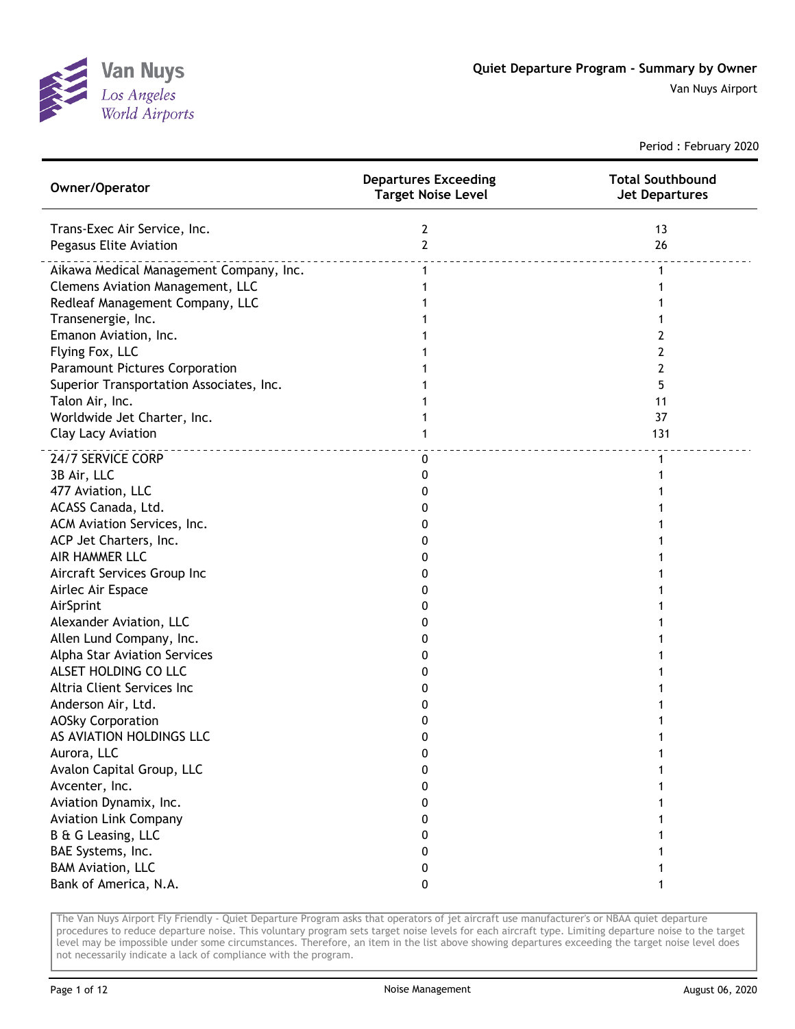

Period : February 2020

| Owner/Operator                           | <b>Departures Exceeding</b><br><b>Target Noise Level</b> | <b>Total Southbound</b><br><b>Jet Departures</b> |
|------------------------------------------|----------------------------------------------------------|--------------------------------------------------|
| Trans-Exec Air Service, Inc.             | 2                                                        | 13                                               |
| Pegasus Elite Aviation                   | $\overline{2}$                                           | 26                                               |
| Aikawa Medical Management Company, Inc.  | $\mathbf{1}$                                             | 1                                                |
| Clemens Aviation Management, LLC         | 1                                                        |                                                  |
| Redleaf Management Company, LLC          |                                                          |                                                  |
| Transenergie, Inc.                       |                                                          |                                                  |
| Emanon Aviation, Inc.                    |                                                          | 2                                                |
| Flying Fox, LLC                          |                                                          | 2                                                |
| <b>Paramount Pictures Corporation</b>    |                                                          | 2                                                |
| Superior Transportation Associates, Inc. |                                                          | 5                                                |
| Talon Air, Inc.                          |                                                          | 11                                               |
| Worldwide Jet Charter, Inc.              | 1                                                        | 37                                               |
| Clay Lacy Aviation                       | 1                                                        | 131                                              |
| 24/7 SERVICE CORP                        | 0                                                        | $\mathbf{1}$                                     |
| 3B Air, LLC                              | 0                                                        |                                                  |
| 477 Aviation, LLC                        | 0                                                        |                                                  |
| ACASS Canada, Ltd.                       | 0                                                        |                                                  |
| ACM Aviation Services, Inc.              | 0                                                        |                                                  |
| ACP Jet Charters, Inc.                   | 0                                                        |                                                  |
| AIR HAMMER LLC                           | 0                                                        |                                                  |
| Aircraft Services Group Inc              | 0                                                        |                                                  |
| Airlec Air Espace                        | 0                                                        |                                                  |
| AirSprint                                | 0                                                        |                                                  |
| Alexander Aviation, LLC                  | 0                                                        |                                                  |
| Allen Lund Company, Inc.                 | 0                                                        |                                                  |
| Alpha Star Aviation Services             | 0                                                        |                                                  |
| ALSET HOLDING CO LLC                     | 0                                                        |                                                  |
| Altria Client Services Inc               | 0                                                        |                                                  |
| Anderson Air, Ltd.                       | 0                                                        |                                                  |
| <b>AOSky Corporation</b>                 | 0                                                        |                                                  |
| AS AVIATION HOLDINGS LLC                 | 0                                                        |                                                  |
| Aurora, LLC                              | 0                                                        |                                                  |
| Avalon Capital Group, LLC                | 0                                                        |                                                  |
| Avcenter, Inc.                           | 0                                                        |                                                  |
| Aviation Dynamix, Inc.                   | 0                                                        |                                                  |
| <b>Aviation Link Company</b>             | 0                                                        |                                                  |
| B & G Leasing, LLC                       | 0                                                        |                                                  |
| BAE Systems, Inc.                        | 0                                                        |                                                  |
| <b>BAM Aviation, LLC</b>                 | 0                                                        |                                                  |
| Bank of America, N.A.                    | 0                                                        |                                                  |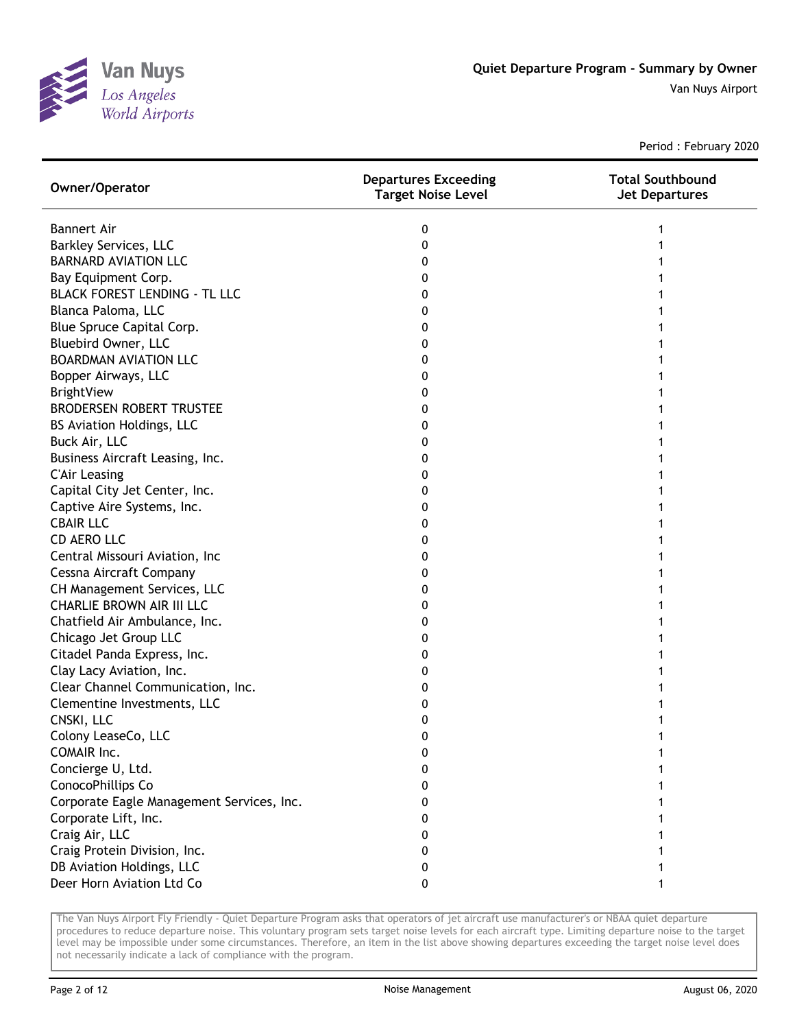

Period : February 2020

| Owner/Operator                            | <b>Departures Exceeding</b><br><b>Target Noise Level</b> | <b>Total Southbound</b><br><b>Jet Departures</b> |
|-------------------------------------------|----------------------------------------------------------|--------------------------------------------------|
| <b>Bannert Air</b>                        | 0                                                        |                                                  |
| <b>Barkley Services, LLC</b>              | 0                                                        |                                                  |
| <b>BARNARD AVIATION LLC</b>               | 0                                                        |                                                  |
| Bay Equipment Corp.                       | 0                                                        |                                                  |
| <b>BLACK FOREST LENDING - TL LLC</b>      | 0                                                        |                                                  |
| Blanca Paloma, LLC                        | 0                                                        |                                                  |
| Blue Spruce Capital Corp.                 | 0                                                        |                                                  |
| Bluebird Owner, LLC                       | 0                                                        |                                                  |
| <b>BOARDMAN AVIATION LLC</b>              | 0                                                        |                                                  |
| Bopper Airways, LLC                       | 0                                                        |                                                  |
| <b>BrightView</b>                         | 0                                                        |                                                  |
| <b>BRODERSEN ROBERT TRUSTEE</b>           | 0                                                        |                                                  |
| <b>BS Aviation Holdings, LLC</b>          | 0                                                        |                                                  |
| Buck Air, LLC                             | 0                                                        |                                                  |
| Business Aircraft Leasing, Inc.           | 0                                                        |                                                  |
| <b>C'Air Leasing</b>                      | 0                                                        |                                                  |
| Capital City Jet Center, Inc.             | 0                                                        |                                                  |
| Captive Aire Systems, Inc.                | 0                                                        |                                                  |
| <b>CBAIR LLC</b>                          | 0                                                        |                                                  |
| <b>CD AERO LLC</b>                        | 0                                                        |                                                  |
| Central Missouri Aviation, Inc            | 0                                                        |                                                  |
| Cessna Aircraft Company                   | 0                                                        |                                                  |
| CH Management Services, LLC               | 0                                                        |                                                  |
| <b>CHARLIE BROWN AIR III LLC</b>          | 0                                                        |                                                  |
| Chatfield Air Ambulance, Inc.             | 0                                                        |                                                  |
| Chicago Jet Group LLC                     | 0                                                        |                                                  |
| Citadel Panda Express, Inc.               | 0                                                        |                                                  |
| Clay Lacy Aviation, Inc.                  | 0                                                        |                                                  |
| Clear Channel Communication, Inc.         | 0                                                        |                                                  |
| Clementine Investments, LLC               | 0                                                        |                                                  |
| CNSKI, LLC                                | 0                                                        |                                                  |
| Colony LeaseCo, LLC                       | 0                                                        |                                                  |
| COMAIR Inc.                               | 0                                                        |                                                  |
| Concierge U, Ltd.                         | 0                                                        |                                                  |
| ConocoPhillips Co                         | 0                                                        |                                                  |
| Corporate Eagle Management Services, Inc. | 0                                                        |                                                  |
| Corporate Lift, Inc.                      | 0                                                        |                                                  |
| Craig Air, LLC                            | 0                                                        |                                                  |
| Craig Protein Division, Inc.              | 0                                                        |                                                  |
| DB Aviation Holdings, LLC                 | 0                                                        |                                                  |
| Deer Horn Aviation Ltd Co                 | 0                                                        |                                                  |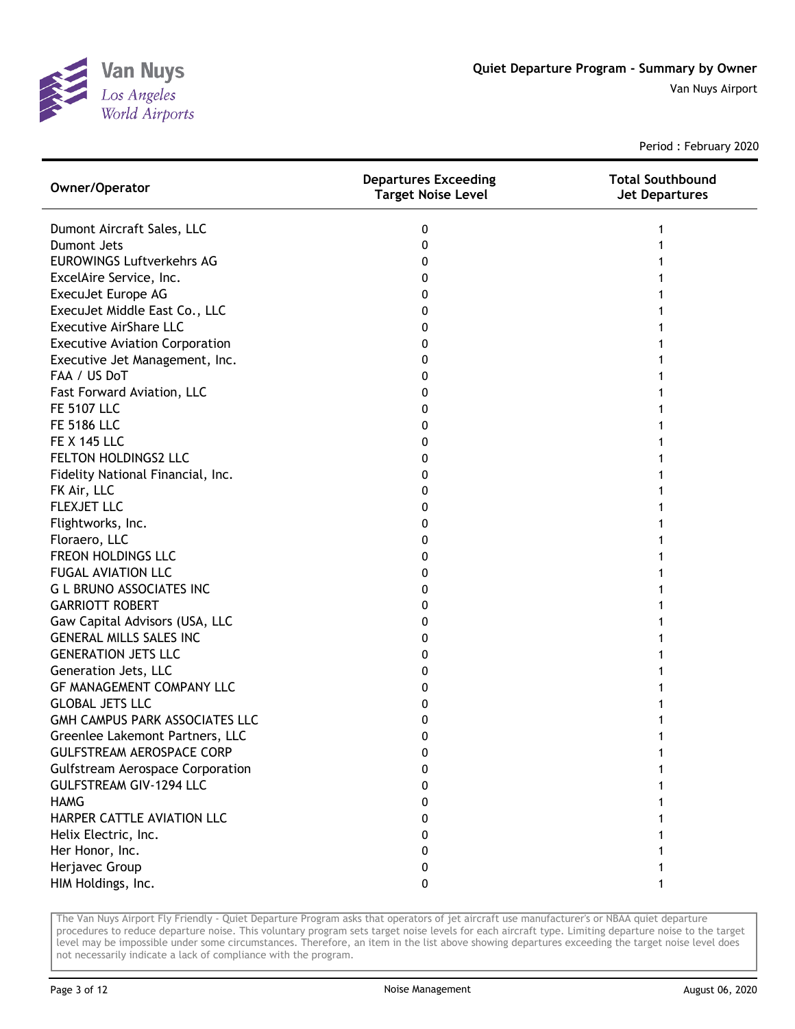

Period : February 2020

| Owner/Operator                          | <b>Departures Exceeding</b><br>Target Noise Level | <b>Total Southbound</b><br><b>Jet Departures</b> |
|-----------------------------------------|---------------------------------------------------|--------------------------------------------------|
| Dumont Aircraft Sales, LLC              | 0                                                 | 1                                                |
| <b>Dumont Jets</b>                      | 0                                                 |                                                  |
| <b>EUROWINGS Luftverkehrs AG</b>        | 0                                                 |                                                  |
| ExcelAire Service, Inc.                 | 0                                                 |                                                  |
| ExecuJet Europe AG                      | 0                                                 |                                                  |
| ExecuJet Middle East Co., LLC           | 0                                                 |                                                  |
| <b>Executive AirShare LLC</b>           | 0                                                 |                                                  |
| <b>Executive Aviation Corporation</b>   | 0                                                 |                                                  |
| Executive Jet Management, Inc.          | 0                                                 |                                                  |
| FAA / US DoT                            | 0                                                 |                                                  |
| Fast Forward Aviation, LLC              | 0                                                 |                                                  |
| <b>FE 5107 LLC</b>                      | 0                                                 |                                                  |
| <b>FE 5186 LLC</b>                      | 0                                                 |                                                  |
| <b>FE X 145 LLC</b>                     | 0                                                 |                                                  |
| FELTON HOLDINGS2 LLC                    | 0                                                 |                                                  |
| Fidelity National Financial, Inc.       | 0                                                 |                                                  |
| FK Air, LLC                             | 0                                                 |                                                  |
| <b>FLEXJET LLC</b>                      | 0                                                 |                                                  |
| Flightworks, Inc.                       | 0                                                 |                                                  |
| Floraero, LLC                           | 0                                                 |                                                  |
| FREON HOLDINGS LLC                      | 0                                                 |                                                  |
| <b>FUGAL AVIATION LLC</b>               | 0                                                 |                                                  |
| <b>G L BRUNO ASSOCIATES INC</b>         | 0                                                 |                                                  |
| <b>GARRIOTT ROBERT</b>                  | 0                                                 |                                                  |
| Gaw Capital Advisors (USA, LLC          | 0                                                 |                                                  |
| <b>GENERAL MILLS SALES INC</b>          | 0                                                 |                                                  |
| <b>GENERATION JETS LLC</b>              | 0                                                 |                                                  |
| Generation Jets, LLC                    | 0                                                 |                                                  |
| <b>GF MANAGEMENT COMPANY LLC</b>        | 0                                                 |                                                  |
| <b>GLOBAL JETS LLC</b>                  | 0                                                 |                                                  |
| GMH CAMPUS PARK ASSOCIATES LLC          | 0                                                 |                                                  |
| Greenlee Lakemont Partners, LLC         | 0                                                 |                                                  |
| <b>GULFSTREAM AEROSPACE CORP</b>        | 0                                                 |                                                  |
| <b>Gulfstream Aerospace Corporation</b> | 0                                                 |                                                  |
| <b>GULFSTREAM GIV-1294 LLC</b>          | 0                                                 |                                                  |
| <b>HAMG</b>                             | 0                                                 |                                                  |
| HARPER CATTLE AVIATION LLC              | 0                                                 |                                                  |
| Helix Electric, Inc.                    | 0                                                 |                                                  |
| Her Honor, Inc.                         | 0                                                 |                                                  |
| Herjavec Group                          | 0                                                 |                                                  |
| HIM Holdings, Inc.                      | 0                                                 |                                                  |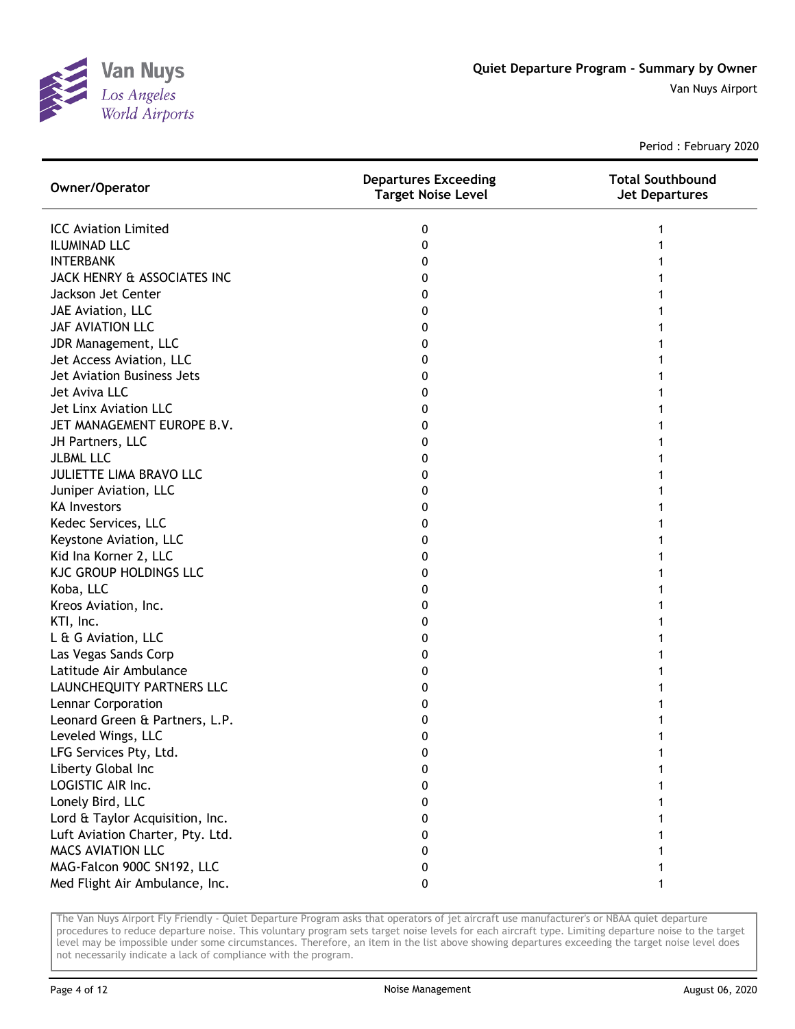

Period : February 2020

| Owner/Operator                   | <b>Departures Exceeding</b><br><b>Target Noise Level</b> | <b>Total Southbound</b><br><b>Jet Departures</b> |
|----------------------------------|----------------------------------------------------------|--------------------------------------------------|
| <b>ICC Aviation Limited</b>      | 0                                                        |                                                  |
| <b>ILUMINAD LLC</b>              | 0                                                        |                                                  |
| <b>INTERBANK</b>                 | 0                                                        |                                                  |
| JACK HENRY & ASSOCIATES INC      | 0                                                        |                                                  |
| Jackson Jet Center               | 0                                                        |                                                  |
| JAE Aviation, LLC                | 0                                                        |                                                  |
| JAF AVIATION LLC                 | 0                                                        |                                                  |
| JDR Management, LLC              | 0                                                        |                                                  |
| Jet Access Aviation, LLC         | 0                                                        |                                                  |
| Jet Aviation Business Jets       | 0                                                        |                                                  |
| Jet Aviva LLC                    | 0                                                        |                                                  |
| Jet Linx Aviation LLC            | 0                                                        |                                                  |
| JET MANAGEMENT EUROPE B.V.       | 0                                                        |                                                  |
| JH Partners, LLC                 | 0                                                        |                                                  |
| <b>JLBML LLC</b>                 | 0                                                        |                                                  |
| JULIETTE LIMA BRAVO LLC          | 0                                                        |                                                  |
| Juniper Aviation, LLC            | 0                                                        |                                                  |
| <b>KA Investors</b>              | 0                                                        |                                                  |
| Kedec Services, LLC              | 0                                                        |                                                  |
| Keystone Aviation, LLC           | 0                                                        |                                                  |
| Kid Ina Korner 2, LLC            | 0                                                        |                                                  |
| <b>KJC GROUP HOLDINGS LLC</b>    | 0                                                        |                                                  |
| Koba, LLC                        | 0                                                        |                                                  |
| Kreos Aviation, Inc.             | 0                                                        |                                                  |
| KTI, Inc.                        | 0                                                        |                                                  |
| L & G Aviation, LLC              | 0                                                        |                                                  |
| Las Vegas Sands Corp             | 0                                                        |                                                  |
| Latitude Air Ambulance           | 0                                                        |                                                  |
| LAUNCHEQUITY PARTNERS LLC        | 0                                                        |                                                  |
| Lennar Corporation               | 0                                                        |                                                  |
| Leonard Green & Partners, L.P.   | 0                                                        |                                                  |
| Leveled Wings, LLC               | 0                                                        |                                                  |
| LFG Services Pty, Ltd.           | 0                                                        |                                                  |
| Liberty Global Inc               | 0                                                        |                                                  |
| LOGISTIC AIR Inc.                | 0                                                        |                                                  |
| Lonely Bird, LLC                 | 0                                                        |                                                  |
| Lord & Taylor Acquisition, Inc.  | 0                                                        |                                                  |
| Luft Aviation Charter, Pty. Ltd. | 0                                                        |                                                  |
| <b>MACS AVIATION LLC</b>         | 0                                                        |                                                  |
| MAG-Falcon 900C SN192, LLC       | 0                                                        |                                                  |
| Med Flight Air Ambulance, Inc.   | 0                                                        |                                                  |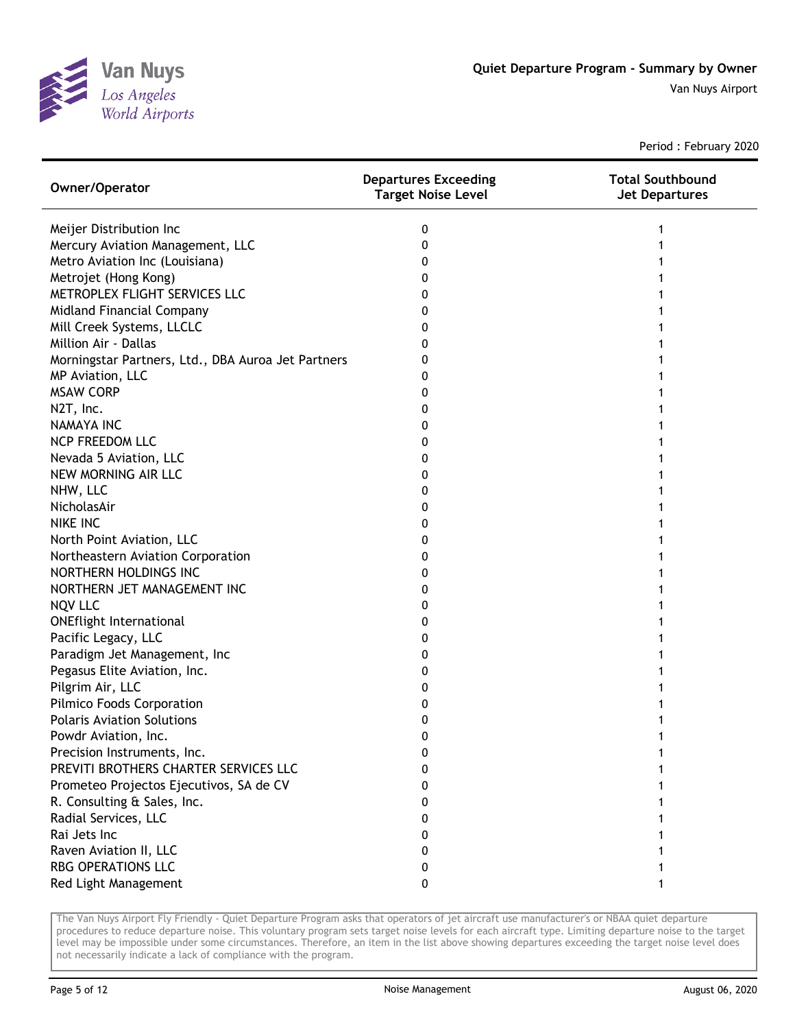

Period : February 2020

| Owner/Operator                                     | <b>Departures Exceeding</b><br>Target Noise Level | <b>Total Southbound</b><br><b>Jet Departures</b> |
|----------------------------------------------------|---------------------------------------------------|--------------------------------------------------|
| Meijer Distribution Inc                            | 0                                                 |                                                  |
| Mercury Aviation Management, LLC                   | 0                                                 |                                                  |
| Metro Aviation Inc (Louisiana)                     | 0                                                 |                                                  |
| Metrojet (Hong Kong)                               | 0                                                 |                                                  |
| METROPLEX FLIGHT SERVICES LLC                      | 0                                                 |                                                  |
| Midland Financial Company                          | 0                                                 |                                                  |
| Mill Creek Systems, LLCLC                          | 0                                                 |                                                  |
| Million Air - Dallas                               | 0                                                 |                                                  |
| Morningstar Partners, Ltd., DBA Auroa Jet Partners | 0                                                 |                                                  |
| MP Aviation, LLC                                   | 0                                                 |                                                  |
| <b>MSAW CORP</b>                                   | 0                                                 |                                                  |
| N2T, Inc.                                          | 0                                                 |                                                  |
| <b>NAMAYA INC</b>                                  | 0                                                 |                                                  |
| <b>NCP FREEDOM LLC</b>                             | 0                                                 |                                                  |
| Nevada 5 Aviation, LLC                             | 0                                                 |                                                  |
| NEW MORNING AIR LLC                                | 0                                                 |                                                  |
| NHW, LLC                                           | 0                                                 |                                                  |
| NicholasAir                                        | 0                                                 |                                                  |
| <b>NIKE INC</b>                                    | 0                                                 |                                                  |
| North Point Aviation, LLC                          | 0                                                 |                                                  |
| Northeastern Aviation Corporation                  | 0                                                 |                                                  |
| NORTHERN HOLDINGS INC                              | 0                                                 |                                                  |
| NORTHERN JET MANAGEMENT INC                        | 0                                                 |                                                  |
| <b>NQV LLC</b>                                     | 0                                                 |                                                  |
| <b>ONEflight International</b>                     | 0                                                 |                                                  |
| Pacific Legacy, LLC                                | 0                                                 |                                                  |
| Paradigm Jet Management, Inc                       | 0                                                 |                                                  |
| Pegasus Elite Aviation, Inc.                       | 0                                                 |                                                  |
| Pilgrim Air, LLC                                   | 0                                                 |                                                  |
| Pilmico Foods Corporation                          | 0                                                 |                                                  |
| <b>Polaris Aviation Solutions</b>                  | 0                                                 |                                                  |
| Powdr Aviation, Inc.                               | 0                                                 |                                                  |
| Precision Instruments, Inc.                        | 0                                                 |                                                  |
| PREVITI BROTHERS CHARTER SERVICES LLC              | 0                                                 |                                                  |
| Prometeo Projectos Ejecutivos, SA de CV            | 0                                                 |                                                  |
| R. Consulting & Sales, Inc.                        | 0                                                 |                                                  |
| Radial Services, LLC                               | 0                                                 |                                                  |
| Rai Jets Inc                                       | 0                                                 |                                                  |
| Raven Aviation II, LLC                             | 0                                                 |                                                  |
| <b>RBG OPERATIONS LLC</b>                          | 0                                                 |                                                  |
| Red Light Management                               | 0                                                 |                                                  |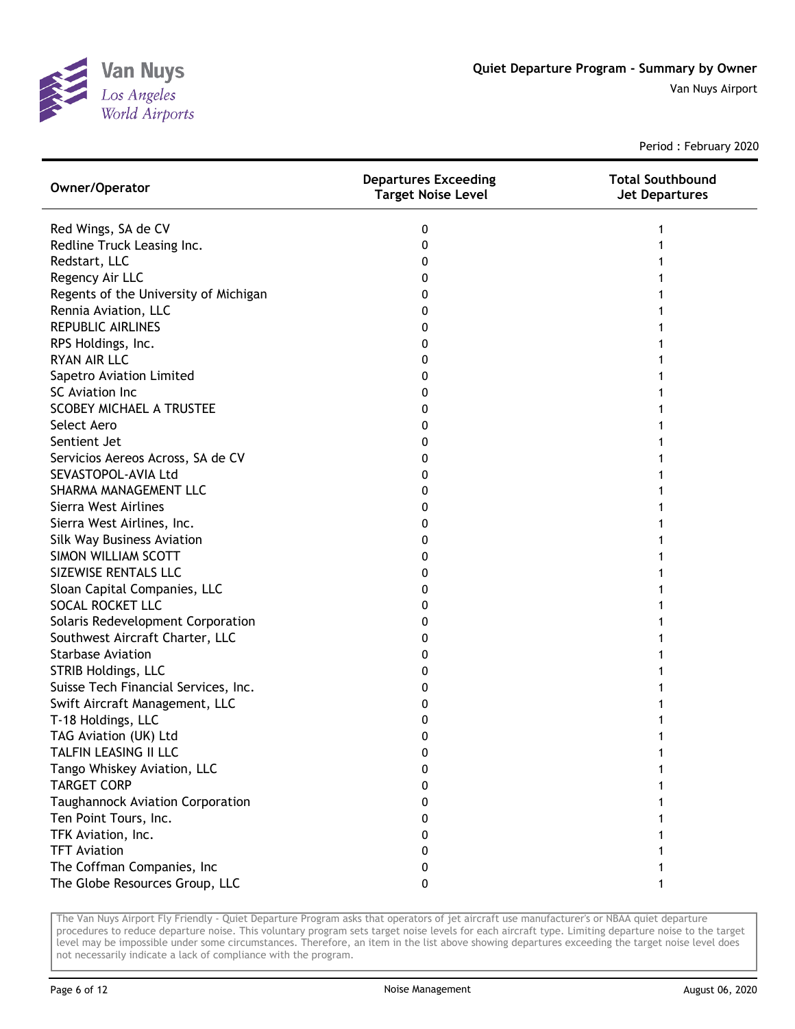

Period : February 2020

| Owner/Operator                        | <b>Departures Exceeding</b><br><b>Target Noise Level</b> | <b>Total Southbound</b><br><b>Jet Departures</b> |
|---------------------------------------|----------------------------------------------------------|--------------------------------------------------|
| Red Wings, SA de CV                   | 0                                                        |                                                  |
| Redline Truck Leasing Inc.            | 0                                                        |                                                  |
| Redstart, LLC                         | 0                                                        |                                                  |
| Regency Air LLC                       | 0                                                        |                                                  |
| Regents of the University of Michigan | 0                                                        |                                                  |
| Rennia Aviation, LLC                  | 0                                                        |                                                  |
| <b>REPUBLIC AIRLINES</b>              | 0                                                        |                                                  |
| RPS Holdings, Inc.                    | 0                                                        |                                                  |
| <b>RYAN AIR LLC</b>                   | 0                                                        |                                                  |
| Sapetro Aviation Limited              | 0                                                        |                                                  |
| SC Aviation Inc                       | 0                                                        |                                                  |
| <b>SCOBEY MICHAEL A TRUSTEE</b>       | 0                                                        |                                                  |
| Select Aero                           | 0                                                        |                                                  |
| Sentient Jet                          | 0                                                        |                                                  |
| Servicios Aereos Across, SA de CV     | 0                                                        |                                                  |
| SEVASTOPOL-AVIA Ltd                   | 0                                                        |                                                  |
| SHARMA MANAGEMENT LLC                 | 0                                                        |                                                  |
| Sierra West Airlines                  | 0                                                        |                                                  |
| Sierra West Airlines, Inc.            | 0                                                        |                                                  |
| Silk Way Business Aviation            | 0                                                        |                                                  |
| SIMON WILLIAM SCOTT                   | 0                                                        |                                                  |
| SIZEWISE RENTALS LLC                  | 0                                                        |                                                  |
| Sloan Capital Companies, LLC          | 0                                                        |                                                  |
| SOCAL ROCKET LLC                      | 0                                                        |                                                  |
| Solaris Redevelopment Corporation     | 0                                                        |                                                  |
| Southwest Aircraft Charter, LLC       | 0                                                        |                                                  |
| <b>Starbase Aviation</b>              | 0                                                        |                                                  |
| STRIB Holdings, LLC                   | 0                                                        |                                                  |
| Suisse Tech Financial Services, Inc.  | 0                                                        |                                                  |
| Swift Aircraft Management, LLC        | 0                                                        |                                                  |
| T-18 Holdings, LLC                    | 0                                                        |                                                  |
| TAG Aviation (UK) Ltd                 | 0                                                        |                                                  |
| TALFIN LEASING II LLC                 | 0                                                        |                                                  |
| Tango Whiskey Aviation, LLC           | 0                                                        |                                                  |
| <b>TARGET CORP</b>                    | 0                                                        |                                                  |
| Taughannock Aviation Corporation      | 0                                                        |                                                  |
| Ten Point Tours, Inc.                 | 0                                                        |                                                  |
| TFK Aviation, Inc.                    | 0                                                        |                                                  |
| <b>TFT Aviation</b>                   | 0                                                        |                                                  |
| The Coffman Companies, Inc            | 0                                                        |                                                  |
| The Globe Resources Group, LLC        | 0                                                        |                                                  |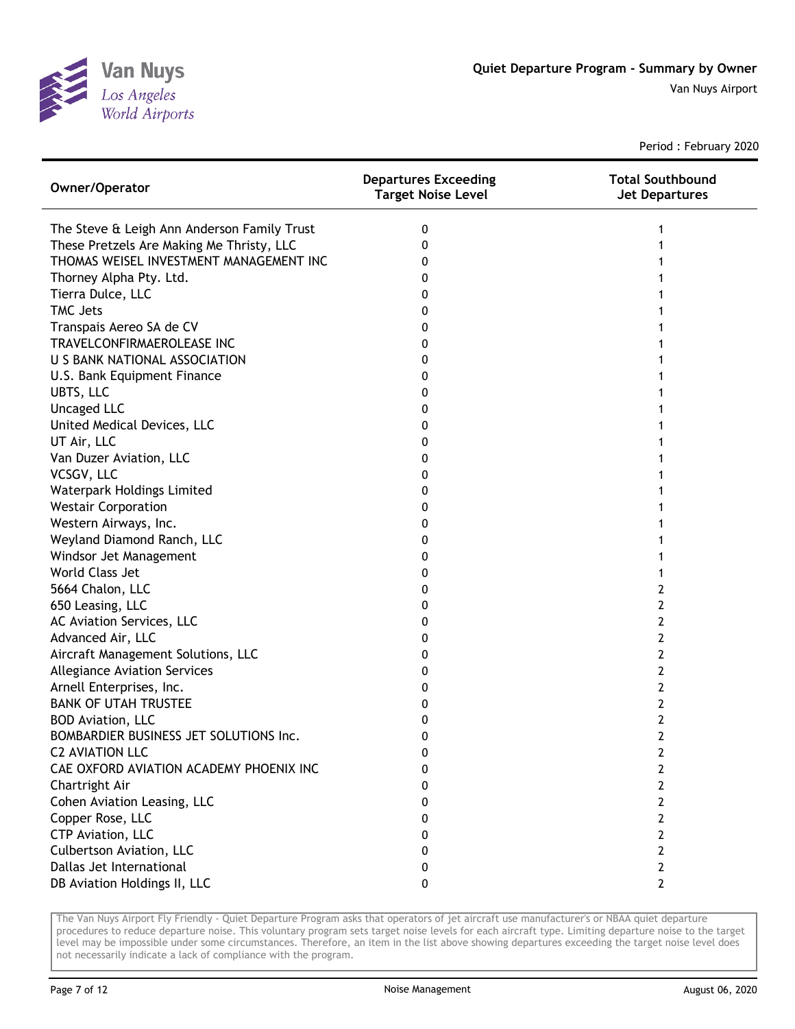

Period : February 2020

| Owner/Operator                              | <b>Departures Exceeding</b><br><b>Target Noise Level</b> | <b>Total Southbound</b><br><b>Jet Departures</b> |
|---------------------------------------------|----------------------------------------------------------|--------------------------------------------------|
| The Steve & Leigh Ann Anderson Family Trust | 0                                                        |                                                  |
| These Pretzels Are Making Me Thristy, LLC   | 0                                                        |                                                  |
| THOMAS WEISEL INVESTMENT MANAGEMENT INC     | 0                                                        |                                                  |
| Thorney Alpha Pty. Ltd.                     | 0                                                        |                                                  |
| Tierra Dulce, LLC                           | 0                                                        |                                                  |
| <b>TMC Jets</b>                             | 0                                                        |                                                  |
| Transpais Aereo SA de CV                    | 0                                                        |                                                  |
| TRAVELCONFIRMAEROLEASE INC                  | 0                                                        |                                                  |
| U S BANK NATIONAL ASSOCIATION               | 0                                                        |                                                  |
| U.S. Bank Equipment Finance                 | 0                                                        |                                                  |
| UBTS, LLC                                   | 0                                                        |                                                  |
| <b>Uncaged LLC</b>                          | 0                                                        |                                                  |
| United Medical Devices, LLC                 | 0                                                        |                                                  |
| UT Air, LLC                                 | 0                                                        |                                                  |
| Van Duzer Aviation, LLC                     | 0                                                        |                                                  |
| VCSGV, LLC                                  | 0                                                        |                                                  |
| Waterpark Holdings Limited                  | 0                                                        |                                                  |
| <b>Westair Corporation</b>                  | 0                                                        |                                                  |
| Western Airways, Inc.                       | 0                                                        |                                                  |
| Weyland Diamond Ranch, LLC                  | 0                                                        |                                                  |
| Windsor Jet Management                      | 0                                                        |                                                  |
| World Class Jet                             | 0                                                        |                                                  |
| 5664 Chalon, LLC                            | 0                                                        | 2                                                |
| 650 Leasing, LLC                            | 0                                                        | 2                                                |
| AC Aviation Services, LLC                   | 0                                                        | 2                                                |
| Advanced Air, LLC                           | 0                                                        | 2                                                |
| Aircraft Management Solutions, LLC          | 0                                                        | 2                                                |
| <b>Allegiance Aviation Services</b>         | 0                                                        | 2                                                |
| Arnell Enterprises, Inc.                    | 0                                                        | 2                                                |
| <b>BANK OF UTAH TRUSTEE</b>                 | 0                                                        | 2                                                |
| <b>BOD Aviation, LLC</b>                    | 0                                                        | 2                                                |
| BOMBARDIER BUSINESS JET SOLUTIONS Inc.      | 0                                                        | 2                                                |
| <b>C2 AVIATION LLC</b>                      | 0                                                        | 2                                                |
| CAE OXFORD AVIATION ACADEMY PHOENIX INC     | 0                                                        | 2                                                |
| Chartright Air                              | 0                                                        | 2                                                |
| Cohen Aviation Leasing, LLC                 | 0                                                        | 2                                                |
| Copper Rose, LLC                            | 0                                                        | 2                                                |
| CTP Aviation, LLC                           | 0                                                        | 2                                                |
| Culbertson Aviation, LLC                    | 0                                                        | $\mathbf{2}$                                     |
| Dallas Jet International                    | 0                                                        | 2                                                |
| DB Aviation Holdings II, LLC                | 0                                                        | $\mathbf{2}$                                     |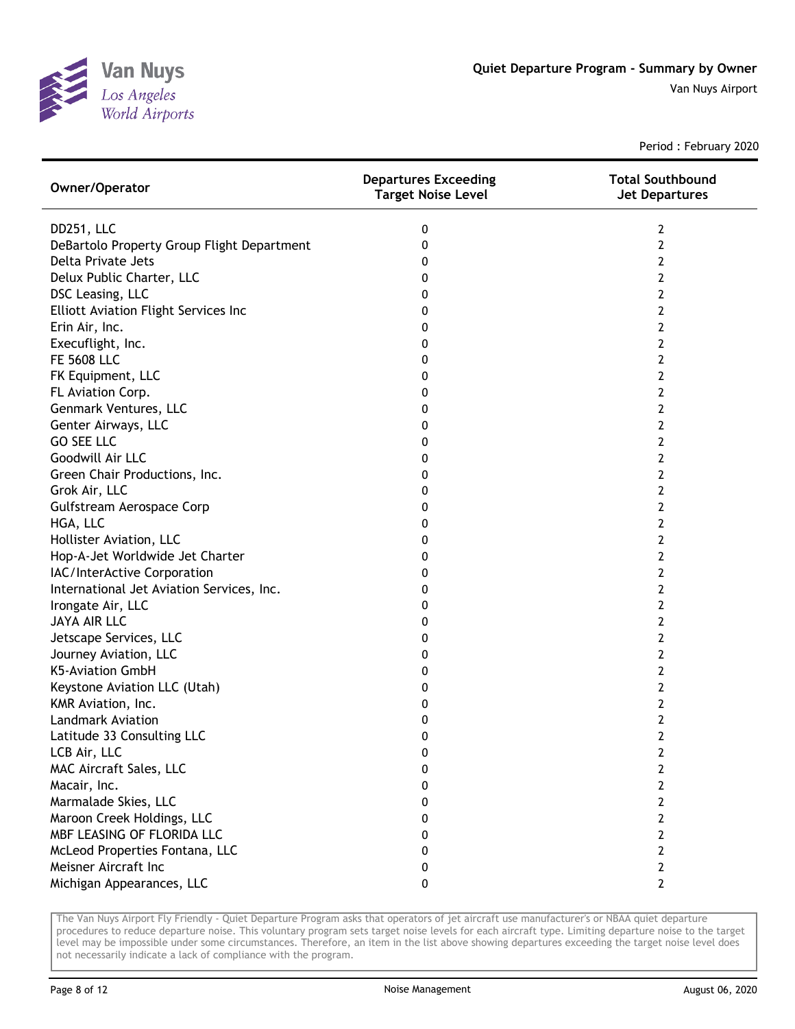

Period : February 2020

| Owner/Operator                              | <b>Departures Exceeding</b><br><b>Target Noise Level</b> | <b>Total Southbound</b><br><b>Jet Departures</b> |
|---------------------------------------------|----------------------------------------------------------|--------------------------------------------------|
| DD251, LLC                                  | 0                                                        | 2                                                |
| DeBartolo Property Group Flight Department  | 0                                                        | $\overline{2}$                                   |
| Delta Private Jets                          | 0                                                        | 2                                                |
| Delux Public Charter, LLC                   | 0                                                        | 2                                                |
| DSC Leasing, LLC                            | 0                                                        | 2                                                |
| <b>Elliott Aviation Flight Services Inc</b> | 0                                                        | 2                                                |
| Erin Air, Inc.                              | 0                                                        | 2                                                |
| Execuflight, Inc.                           | 0                                                        | 2                                                |
| <b>FE 5608 LLC</b>                          | 0                                                        | 2                                                |
| FK Equipment, LLC                           | 0                                                        | 2                                                |
| FL Aviation Corp.                           | 0                                                        | 2                                                |
| Genmark Ventures, LLC                       | 0                                                        | 2                                                |
| Genter Airways, LLC                         | 0                                                        | 2                                                |
| <b>GO SEE LLC</b>                           | 0                                                        | 2                                                |
| Goodwill Air LLC                            | 0                                                        | 2                                                |
| Green Chair Productions, Inc.               | 0                                                        | 2                                                |
| Grok Air, LLC                               | 0                                                        | $\overline{2}$                                   |
| Gulfstream Aerospace Corp                   | 0                                                        | 2                                                |
| HGA, LLC                                    | 0                                                        | $\overline{2}$                                   |
| Hollister Aviation, LLC                     | 0                                                        | $\overline{2}$                                   |
| Hop-A-Jet Worldwide Jet Charter             | 0                                                        | $\overline{2}$                                   |
| IAC/InterActive Corporation                 | 0                                                        | $\overline{2}$                                   |
| International Jet Aviation Services, Inc.   | 0                                                        | 2                                                |
| Irongate Air, LLC                           | 0                                                        | 2                                                |
| <b>JAYA AIR LLC</b>                         | 0                                                        | 2                                                |
| Jetscape Services, LLC                      | 0                                                        | 2                                                |
| Journey Aviation, LLC                       | 0                                                        | 2                                                |
| K5-Aviation GmbH                            | 0                                                        | 2                                                |
| Keystone Aviation LLC (Utah)                | 0                                                        | 2                                                |
| KMR Aviation, Inc.                          | 0                                                        | 2                                                |
| <b>Landmark Aviation</b>                    | 0                                                        | 2                                                |
| Latitude 33 Consulting LLC                  | 0                                                        | 2                                                |
| LCB Air, LLC                                | 0                                                        | 2                                                |
| MAC Aircraft Sales, LLC                     | 0                                                        | 2                                                |
| Macair, Inc.                                | 0                                                        | $\mathbf{2}$                                     |
| Marmalade Skies, LLC                        | 0                                                        | $\mathbf{2}$                                     |
| Maroon Creek Holdings, LLC                  | 0                                                        | 2                                                |
| MBF LEASING OF FLORIDA LLC                  | 0                                                        | $\overline{2}$                                   |
| McLeod Properties Fontana, LLC              | 0                                                        | $\overline{2}$                                   |
| Meisner Aircraft Inc                        | 0                                                        | $\overline{2}$                                   |
| Michigan Appearances, LLC                   | 0                                                        | $\overline{2}$                                   |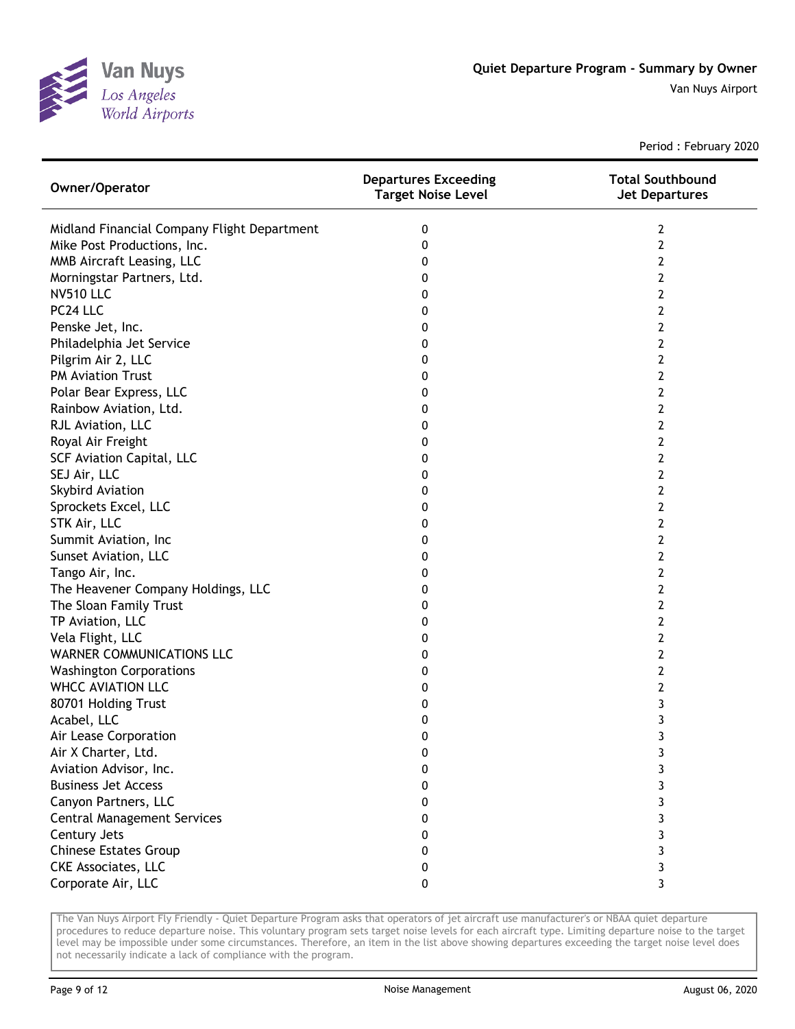

Period : February 2020

| Owner/Operator                              | <b>Departures Exceeding</b><br><b>Target Noise Level</b> | <b>Total Southbound</b><br><b>Jet Departures</b> |
|---------------------------------------------|----------------------------------------------------------|--------------------------------------------------|
| Midland Financial Company Flight Department | 0                                                        | 2                                                |
| Mike Post Productions, Inc.                 | 0                                                        | $\overline{2}$                                   |
| MMB Aircraft Leasing, LLC                   | 0                                                        | 2                                                |
| Morningstar Partners, Ltd.                  | 0                                                        | 2                                                |
| <b>NV510 LLC</b>                            | 0                                                        | 2                                                |
| PC24 LLC                                    | 0                                                        | 2                                                |
| Penske Jet, Inc.                            | 0                                                        | 2                                                |
| Philadelphia Jet Service                    | 0                                                        | 2                                                |
| Pilgrim Air 2, LLC                          | 0                                                        | 2                                                |
| <b>PM Aviation Trust</b>                    | 0                                                        | 2                                                |
| Polar Bear Express, LLC                     | 0                                                        | 2                                                |
| Rainbow Aviation, Ltd.                      | 0                                                        | 2                                                |
| RJL Aviation, LLC                           | 0                                                        | 2                                                |
| Royal Air Freight                           | 0                                                        | 2                                                |
| <b>SCF Aviation Capital, LLC</b>            | 0                                                        | 2                                                |
| SEJ Air, LLC                                | 0                                                        | 2                                                |
| <b>Skybird Aviation</b>                     | 0                                                        | $\overline{2}$                                   |
| Sprockets Excel, LLC                        | 0                                                        | $\overline{2}$                                   |
| STK Air, LLC                                | 0                                                        | $\overline{2}$                                   |
| Summit Aviation, Inc                        | 0                                                        | $\overline{2}$                                   |
| Sunset Aviation, LLC                        | 0                                                        | $\overline{2}$                                   |
| Tango Air, Inc.                             | 0                                                        | $\overline{2}$                                   |
| The Heavener Company Holdings, LLC          | 0                                                        | 2                                                |
| The Sloan Family Trust                      | 0                                                        | 2                                                |
| TP Aviation, LLC                            | 0                                                        | 2                                                |
| Vela Flight, LLC                            | 0                                                        | 2                                                |
| <b>WARNER COMMUNICATIONS LLC</b>            | 0                                                        | 2                                                |
| <b>Washington Corporations</b>              | 0                                                        | 2                                                |
| <b>WHCC AVIATION LLC</b>                    | 0                                                        | 2                                                |
| 80701 Holding Trust                         | 0                                                        | 3                                                |
| Acabel, LLC                                 | 0                                                        | 3                                                |
| Air Lease Corporation                       | 0                                                        | 3                                                |
| Air X Charter, Ltd.                         | 0                                                        | 3                                                |
| Aviation Advisor, Inc.                      | 0                                                        | 3                                                |
| <b>Business Jet Access</b>                  | 0                                                        | 3                                                |
| Canyon Partners, LLC                        | 0                                                        | 3                                                |
| <b>Central Management Services</b>          | 0                                                        | 3                                                |
| Century Jets                                | 0                                                        | 3                                                |
| <b>Chinese Estates Group</b>                | 0                                                        | 3                                                |
| <b>CKE Associates, LLC</b>                  | 0                                                        | 3                                                |
| Corporate Air, LLC                          | 0                                                        | 3                                                |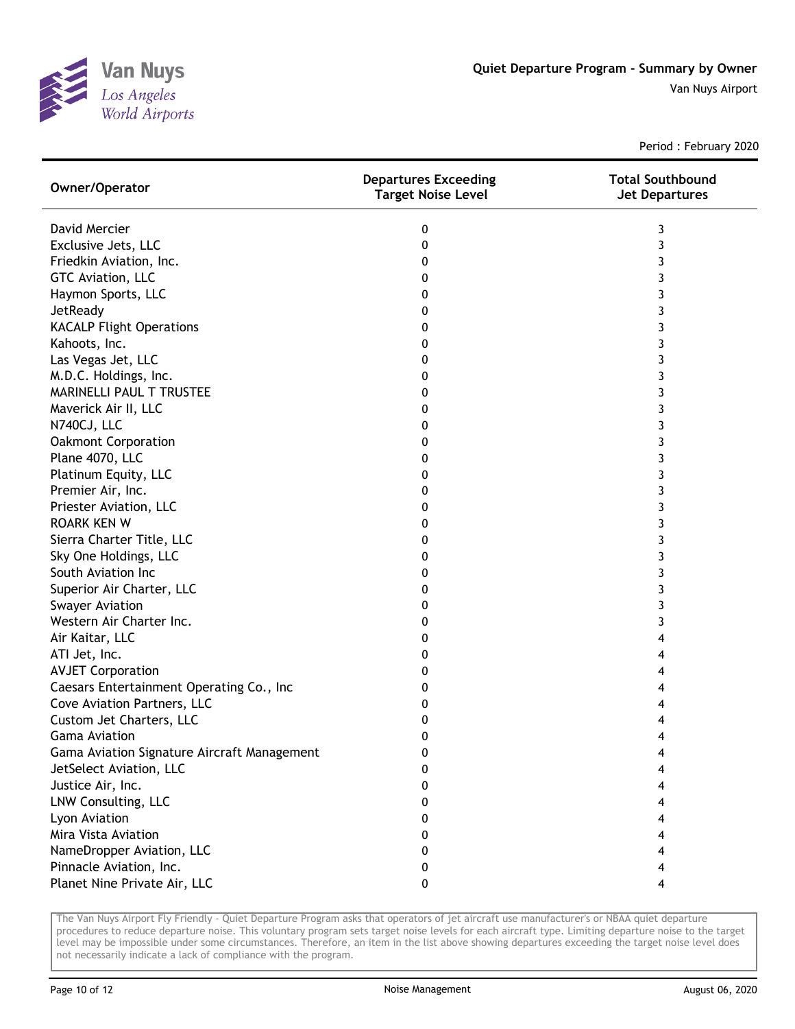

Period : February 2020

| Owner/Operator                              | <b>Departures Exceeding</b><br><b>Target Noise Level</b> | <b>Total Southbound</b><br><b>Jet Departures</b> |
|---------------------------------------------|----------------------------------------------------------|--------------------------------------------------|
| David Mercier                               | 0                                                        | 3                                                |
| Exclusive Jets, LLC                         | 0                                                        | 3                                                |
| Friedkin Aviation, Inc.                     | 0                                                        | 3                                                |
| GTC Aviation, LLC                           | 0                                                        | 3                                                |
| Haymon Sports, LLC                          | 0                                                        | 3                                                |
| JetReady                                    | 0                                                        | 3                                                |
| <b>KACALP Flight Operations</b>             | 0                                                        | 3                                                |
| Kahoots, Inc.                               | 0                                                        | 3                                                |
| Las Vegas Jet, LLC                          | 0                                                        | 3                                                |
| M.D.C. Holdings, Inc.                       | 0                                                        | 3                                                |
| MARINELLI PAUL T TRUSTEE                    | 0                                                        | 3                                                |
| Maverick Air II, LLC                        | 0                                                        | 3                                                |
| N740CJ, LLC                                 | 0                                                        | 3                                                |
| <b>Oakmont Corporation</b>                  | 0                                                        | 3                                                |
| Plane 4070, LLC                             | 0                                                        | 3                                                |
| Platinum Equity, LLC                        | 0                                                        | 3                                                |
| Premier Air, Inc.                           | 0                                                        | 3                                                |
| Priester Aviation, LLC                      | 0                                                        | 3                                                |
| <b>ROARK KEN W</b>                          | 0                                                        | 3                                                |
| Sierra Charter Title, LLC                   | 0                                                        | 3                                                |
| Sky One Holdings, LLC                       | 0                                                        | 3                                                |
| South Aviation Inc                          | 0                                                        | 3                                                |
| Superior Air Charter, LLC                   | 0                                                        | 3                                                |
| <b>Swayer Aviation</b>                      | 0                                                        | 3                                                |
| Western Air Charter Inc.                    | 0                                                        | 3                                                |
| Air Kaitar, LLC                             | 0                                                        | 4                                                |
| ATI Jet, Inc.                               | 0                                                        | 4                                                |
| <b>AVJET Corporation</b>                    | 0                                                        | 4                                                |
| Caesars Entertainment Operating Co., Inc    | 0                                                        | 4                                                |
| Cove Aviation Partners, LLC                 | 0                                                        | 4                                                |
| Custom Jet Charters, LLC                    | 0                                                        | 4                                                |
| <b>Gama Aviation</b>                        | 0                                                        | 4                                                |
| Gama Aviation Signature Aircraft Management | 0                                                        | 4                                                |
| JetSelect Aviation, LLC                     | 0                                                        |                                                  |
| Justice Air, Inc.                           | 0                                                        | 4                                                |
| LNW Consulting, LLC                         | 0                                                        | 4                                                |
| Lyon Aviation                               | 0                                                        | 4                                                |
| Mira Vista Aviation                         | 0                                                        |                                                  |
| NameDropper Aviation, LLC                   | 0                                                        |                                                  |
| Pinnacle Aviation, Inc.                     | 0                                                        | 4                                                |
| Planet Nine Private Air, LLC                | 0                                                        | 4                                                |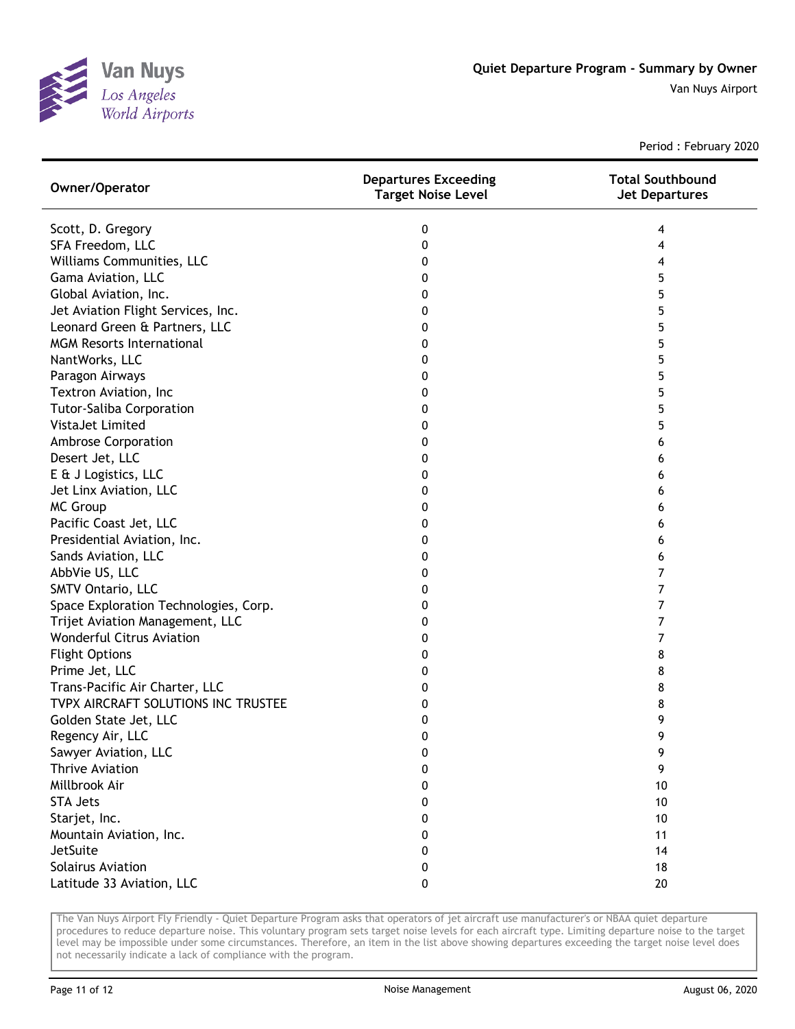

Period : February 2020

| Owner/Operator                        | <b>Departures Exceeding</b><br><b>Target Noise Level</b> | <b>Total Southbound</b><br><b>Jet Departures</b> |
|---------------------------------------|----------------------------------------------------------|--------------------------------------------------|
| Scott, D. Gregory                     | 0                                                        | 4                                                |
| SFA Freedom, LLC                      | 0                                                        | 4                                                |
| Williams Communities, LLC             | 0                                                        | 4                                                |
| Gama Aviation, LLC                    | 0                                                        | 5                                                |
| Global Aviation, Inc.                 | 0                                                        | 5                                                |
| Jet Aviation Flight Services, Inc.    | 0                                                        | 5                                                |
| Leonard Green & Partners, LLC         | 0                                                        | 5                                                |
| <b>MGM Resorts International</b>      | 0                                                        | 5                                                |
| NantWorks, LLC                        | 0                                                        | 5                                                |
| Paragon Airways                       | 0                                                        | 5                                                |
| Textron Aviation, Inc                 | 0                                                        | 5                                                |
| <b>Tutor-Saliba Corporation</b>       | 0                                                        | 5                                                |
| VistaJet Limited                      | 0                                                        | 5                                                |
| <b>Ambrose Corporation</b>            | 0                                                        | 6                                                |
| Desert Jet, LLC                       | 0                                                        | 6                                                |
| E & J Logistics, LLC                  | 0                                                        | 6                                                |
| Jet Linx Aviation, LLC                | 0                                                        | 6                                                |
| <b>MC Group</b>                       | 0                                                        | 6                                                |
| Pacific Coast Jet, LLC                | 0                                                        | 6                                                |
| Presidential Aviation, Inc.           | 0                                                        | 6                                                |
| Sands Aviation, LLC                   | 0                                                        | 6                                                |
| AbbVie US, LLC                        | 0                                                        | 7                                                |
| SMTV Ontario, LLC                     | 0                                                        | 7                                                |
| Space Exploration Technologies, Corp. | 0                                                        | 7                                                |
| Trijet Aviation Management, LLC       | 0                                                        | 7                                                |
| <b>Wonderful Citrus Aviation</b>      | 0                                                        | 7                                                |
| <b>Flight Options</b>                 | 0                                                        | 8                                                |
| Prime Jet, LLC                        | 0                                                        | 8                                                |
| Trans-Pacific Air Charter, LLC        | 0                                                        | 8                                                |
| TVPX AIRCRAFT SOLUTIONS INC TRUSTEE   | 0                                                        | 8                                                |
| Golden State Jet, LLC                 | 0                                                        | 9                                                |
| Regency Air, LLC                      | 0                                                        | 9                                                |
| Sawyer Aviation, LLC                  | 0                                                        | 9                                                |
| <b>Thrive Aviation</b>                | 0                                                        | 9                                                |
| Millbrook Air                         | 0                                                        | 10                                               |
| <b>STA Jets</b>                       | 0                                                        | 10                                               |
| Starjet, Inc.                         | 0                                                        | 10                                               |
| Mountain Aviation, Inc.               | 0                                                        | 11                                               |
| JetSuite                              | 0                                                        | 14                                               |
| Solairus Aviation                     | 0                                                        | 18                                               |
| Latitude 33 Aviation, LLC             | 0                                                        | 20                                               |